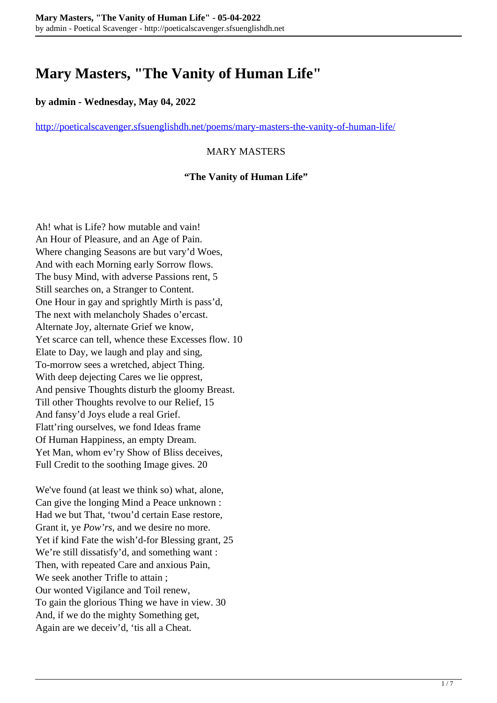# **Mary Masters, "The Vanity of Human Life"**

## **by admin - Wednesday, May 04, 2022**

<http://poeticalscavenger.sfsuenglishdh.net/poems/mary-masters-the-vanity-of-human-life/>

### MARY MASTERS

#### **"The Vanity of Human Life"**

Ah! what is Life? how mutable and vain! An Hour of Pleasure, and an Age of Pain. Where changing Seasons are but vary'd Woes, And with each Morning early Sorrow flows. The busy Mind, with adverse Passions rent, 5 Still searches on, a Stranger to Content. One Hour in gay and sprightly Mirth is pass'd, The next with melancholy Shades o'ercast. Alternate Joy, alternate Grief we know, Yet scarce can tell, whence these Excesses flow. 10 Elate to Day, we laugh and play and sing, To-morrow sees a wretched, abject Thing. With deep dejecting Cares we lie opprest, And pensive Thoughts disturb the gloomy Breast. Till other Thoughts revolve to our Relief, 15 And fansy'd Joys elude a real Grief. Flatt'ring ourselves, we fond Ideas frame Of Human Happiness, an empty Dream. Yet Man, whom ev'ry Show of Bliss deceives, Full Credit to the soothing Image gives. 20

We've found (at least we think so) what, alone, Can give the longing Mind a Peace unknown : Had we but That, 'twou'd certain Ease restore, Grant it, ye *Pow'rs*, and we desire no more. Yet if kind Fate the wish'd-for Blessing grant, 25 We're still dissatisfy'd, and something want : Then, with repeated Care and anxious Pain, We seek another Trifle to attain ; Our wonted Vigilance and Toil renew, To gain the glorious Thing we have in view. 30 And, if we do the mighty Something get, Again are we deceiv'd, 'tis all a Cheat.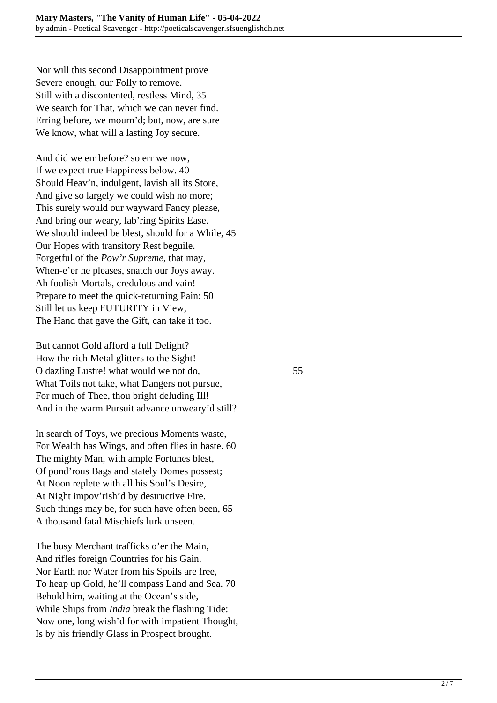Nor will this second Disappointment prove Severe enough, our Folly to remove. Still with a discontented, restless Mind, 35 We search for That, which we can never find. Erring before, we mourn'd; but, now, are sure We know, what will a lasting Joy secure.

And did we err before? so err we now, If we expect true Happiness below. 40 Should Heav'n, indulgent, lavish all its Store, And give so largely we could wish no more; This surely would our wayward Fancy please, And bring our weary, lab'ring Spirits Ease. We should indeed be blest, should for a While, 45 Our Hopes with transitory Rest beguile. Forgetful of the *Pow'r Supreme,* that may, When-e'er he pleases, snatch our Joys away. Ah foolish Mortals, credulous and vain! Prepare to meet the quick-returning Pain: 50 Still let us keep FUTURITY in View, The Hand that gave the Gift, can take it too.

But cannot Gold afford a full Delight? How the rich Metal glitters to the Sight! O dazling Lustre! what would we not do, 55 What Toils not take, what Dangers not pursue, For much of Thee, thou bright deluding Ill! And in the warm Pursuit advance unweary'd still?

In search of Toys, we precious Moments waste, For Wealth has Wings, and often flies in haste. 60 The mighty Man, with ample Fortunes blest, Of pond'rous Bags and stately Domes possest; At Noon replete with all his Soul's Desire, At Night impov'rish'd by destructive Fire. Such things may be, for such have often been, 65 A thousand fatal Mischiefs lurk unseen.

The busy Merchant trafficks o'er the Main, And rifles foreign Countries for his Gain. Nor Earth nor Water from his Spoils are free, To heap up Gold, he'll compass Land and Sea. 70 Behold him, waiting at the Ocean's side, While Ships from *India* break the flashing Tide: Now one, long wish'd for with impatient Thought, Is by his friendly Glass in Prospect brought.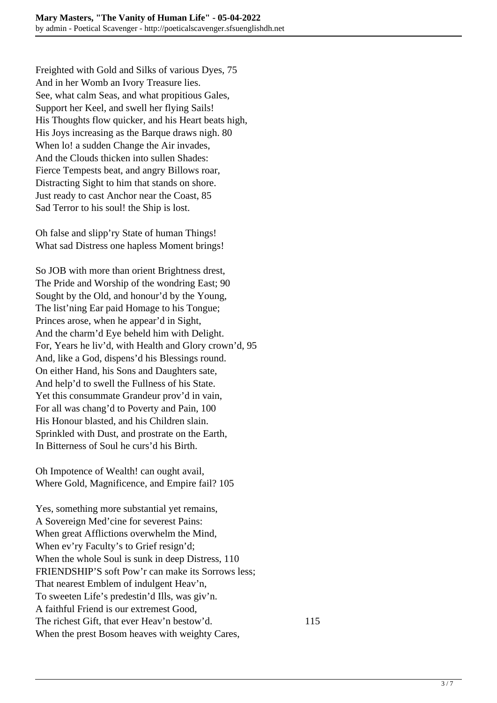Freighted with Gold and Silks of various Dyes, 75 And in her Womb an Ivory Treasure lies. See, what calm Seas, and what propitious Gales, Support her Keel, and swell her flying Sails! His Thoughts flow quicker, and his Heart beats high, His Joys increasing as the Barque draws nigh. 80 When lo! a sudden Change the Air invades, And the Clouds thicken into sullen Shades: Fierce Tempests beat, and angry Billows roar, Distracting Sight to him that stands on shore. Just ready to cast Anchor near the Coast, 85 Sad Terror to his soul! the Ship is lost.

Oh false and slipp'ry State of human Things! What sad Distress one hapless Moment brings!

So JOB with more than orient Brightness drest, The Pride and Worship of the wondring East; 90 Sought by the Old, and honour'd by the Young, The list'ning Ear paid Homage to his Tongue; Princes arose, when he appear'd in Sight, And the charm'd Eye beheld him with Delight. For, Years he liv'd, with Health and Glory crown'd, 95 And, like a God, dispens'd his Blessings round. On either Hand, his Sons and Daughters sate, And help'd to swell the Fullness of his State. Yet this consummate Grandeur prov'd in vain, For all was chang'd to Poverty and Pain, 100 His Honour blasted, and his Children slain. Sprinkled with Dust, and prostrate on the Earth, In Bitterness of Soul he curs'd his Birth.

Oh Impotence of Wealth! can ought avail, Where Gold, Magnificence, and Empire fail? 105

Yes, something more substantial yet remains, A Sovereign Med'cine for severest Pains: When great Afflictions overwhelm the Mind, When ev'ry Faculty's to Grief resign'd; When the whole Soul is sunk in deep Distress, 110 FRIENDSHIP'S soft Pow'r can make its Sorrows less; That nearest Emblem of indulgent Heav'n, To sweeten Life's predestin'd Ills, was giv'n. A faithful Friend is our extremest Good, The richest Gift, that ever Heav'n bestow'd. 115 When the prest Bosom heaves with weighty Cares,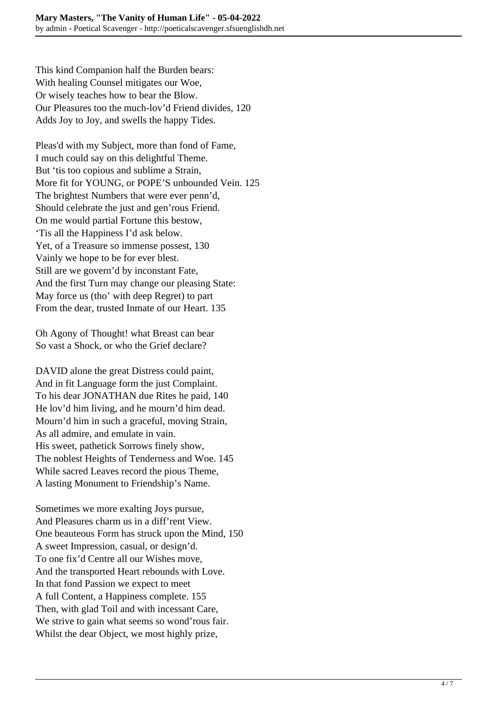This kind Companion half the Burden bears: With healing Counsel mitigates our Woe, Or wisely teaches how to bear the Blow. Our Pleasures too the much-lov'd Friend divides, 120 Adds Joy to Joy, and swells the happy Tides.

Pleas'd with my Subject, more than fond of Fame, I much could say on this delightful Theme. But 'tis too copious and sublime a Strain, More fit for YOUNG, or POPE'S unbounded Vein. 125 The brightest Numbers that were ever penn'd, Should celebrate the just and gen'rous Friend. On me would partial Fortune this bestow, 'Tis all the Happiness I'd ask below. Yet, of a Treasure so immense possest, 130 Vainly we hope to be for ever blest. Still are we govern'd by inconstant Fate, And the first Turn may change our pleasing State: May force us (tho' with deep Regret) to part From the dear, trusted Inmate of our Heart. 135

Oh Agony of Thought! what Breast can bear So vast a Shock, or who the Grief declare?

DAVID alone the great Distress could paint, And in fit Language form the just Complaint. To his dear JONATHAN due Rites he paid, 140 He lov'd him living, and he mourn'd him dead. Mourn'd him in such a graceful, moving Strain, As all admire, and emulate in vain. His sweet, pathetick Sorrows finely show, The noblest Heights of Tenderness and Woe. 145 While sacred Leaves record the pious Theme, A lasting Monument to Friendship's Name.

Sometimes we more exalting Joys pursue, And Pleasures charm us in a diff'rent View. One beauteous Form has struck upon the Mind, 150 A sweet Impression, casual, or design'd. To one fix'd Centre all our Wishes move, And the transported Heart rebounds with Love. In that fond Passion we expect to meet A full Content, a Happiness complete. 155 Then, with glad Toil and with incessant Care, We strive to gain what seems so wond'rous fair. Whilst the dear Object, we most highly prize,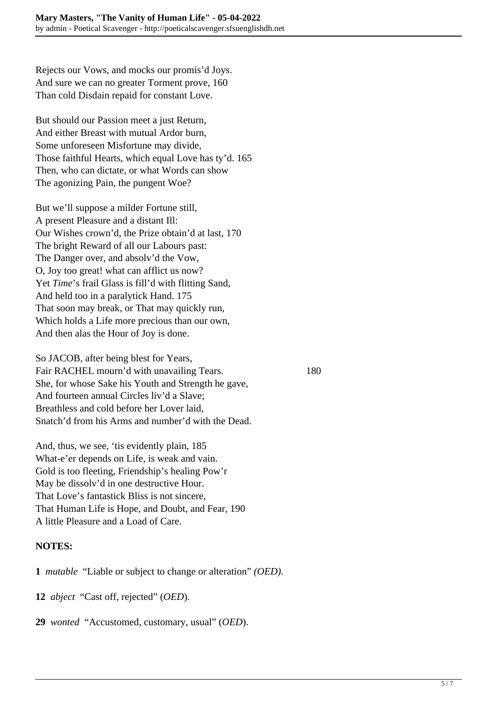Rejects our Vows, and mocks our promis'd Joys. And sure we can no greater Torment prove, 160 Than cold Disdain repaid for constant Love.

But should our Passion meet a just Return, And either Breast with mutual Ardor burn, Some unforeseen Misfortune may divide, Those faithful Hearts, which equal Love has ty'd. 165 Then, who can dictate, or what Words can show The agonizing Pain, the pungent Woe?

But we'll suppose a milder Fortune still, A present Pleasure and a distant Ill: Our Wishes crown'd, the Prize obtain'd at last, 170 The bright Reward of all our Labours past: The Danger over, and absolv'd the Vow, O, Joy too great! what can afflict us now? Yet *Time*'s frail Glass is fill'd with flitting Sand, And held too in a paralytick Hand. 175 That soon may break, or That may quickly run, Which holds a Life more precious than our own, And then alas the Hour of Joy is done.

So JACOB, after being blest for Years, Fair RACHEL mourn'd with unavailing Tears. 180 She, for whose Sake his Youth and Strength he gave, And fourteen annual Circles liv'd a Slave; Breathless and cold before her Lover laid, Snatch'd from his Arms and number'd with the Dead.

And, thus, we see, 'tis evidently plain, 185 What-e'er depends on Life, is weak and vain. Gold is too fleeting, Friendship's healing Pow'r May be dissolv'd in one destructive Hour. That Love's fantastick Bliss is not sincere, That Human Life is Hope, and Doubt, and Fear, 190 A little Pleasure and a Load of Care.

#### **NOTES:**

**1** *mutable* "Liable or subject to change or alteration" *(OED).*

**12** *abject* "Cast off, rejected" (*OED*).

**29** *wonted* "Accustomed, customary, usual" (*OED*).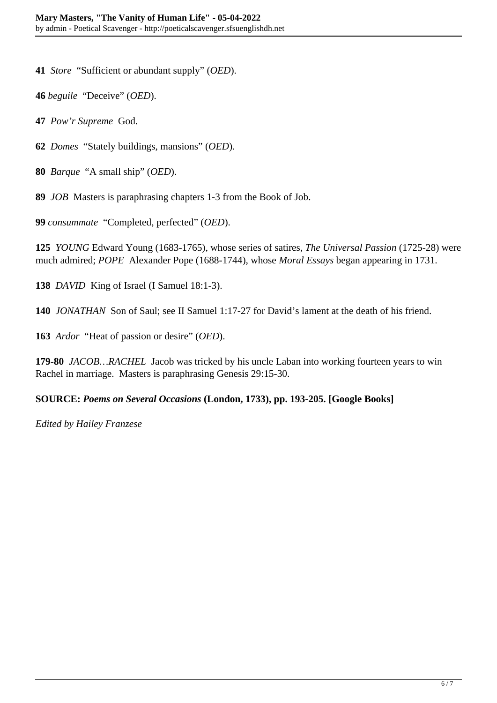**41** *Store* "Sufficient or abundant supply" (*OED*).

**46** *beguile* "Deceive" (*OED*).

**47** *Pow'r Supreme* God.

**62** *Domes* "Stately buildings, mansions" (*OED*).

**80** *Barque* "A small ship" (*OED*).

**89** *JOB* Masters is paraphrasing chapters 1-3 from the Book of Job.

**99** *consummate* "Completed, perfected" (*OED*).

**125** *YOUNG* Edward Young (1683-1765), whose series of satires, *The Universal Passion* (1725-28) were much admired; *POPE* Alexander Pope (1688-1744), whose *Moral Essays* began appearing in 1731.

**138** *DAVID* King of Israel (I Samuel 18:1-3).

**140** *JONATHAN* Son of Saul; see II Samuel 1:17-27 for David's lament at the death of his friend.

**163** *Ardor* "Heat of passion or desire" (*OED*).

**179-80** *JACOB…RACHEL* Jacob was tricked by his uncle Laban into working fourteen years to win Rachel in marriage. Masters is paraphrasing Genesis 29:15-30.

#### **SOURCE:** *Poems on Several Occasions* **(London, 1733), pp. 193-205. [Google Books]**

*Edited by Hailey Franzese*